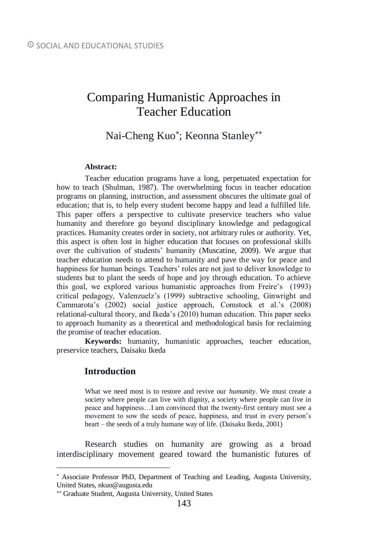# Comparing Humanistic Approaches in Teacher Education

# Nai-Cheng Kuo\*; Keonna Stanley\*\*

#### **Abstract:**

Teacher education programs have a long, perpetuated expectation for how to teach (Shulman, 1987). The overwhelming focus in teacher education programs on planning, instruction, and assessment obscures the ultimate goal of education; that is, to help every student become happy and lead a fulfilled life. This paper offers a perspective to cultivate preservice teachers who value humanity and therefore go beyond disciplinary knowledge and pedagogical practices. Humanity creates order in society, not arbitrary rules or authority. Yet, this aspect is often lost in higher education that focuses on professional skills over the cultivation of students' humanity (Muscatine, 2009). We argue that teacher education needs to attend to humanity and pave the way for peace and happiness for human beings. Teachers' roles are not just to deliver knowledge to students but to plant the seeds of hope and joy through education. To achieve this goal, we explored various humanistic approaches from Freire's (1993) critical pedagogy, Valenzuelz's (1999) subtractive schooling, Ginwright and Cammarota's (2002) social justice approach, Comstock et al.'s (2008) relational-cultural theory, and Ikeda's (2010) human education. This paper seeks to approach humanity as a theoretical and methodological basis for reclaiming the promise of teacher education.

**Keywords:** humanity, humanistic approaches, teacher education, preservice teachers, Daisaku Ikeda

# **Introduction**

 $\overline{a}$ 

What we need most is to restore and revive our *humanity*. We must create a society where people can live with dignity, a society where people can live in peace and happiness…I am convinced that the twenty-first century must see a movement to sow the seeds of peace, happiness, and trust in every person's heart – the seeds of a truly humane way of life. (Daisaku Ikeda, 2001)

Research studies on humanity are growing as a broad interdisciplinary movement geared toward the humanistic futures of

Associate Professor PhD, Department of Teaching and Leading, Augusta University, United States, nkuo@augusta.edu

Graduate Student, Augusta University, United States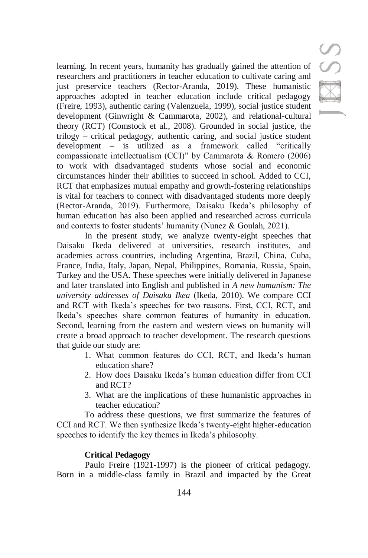S

learning. In recent years, humanity has gradually gained the attention of researchers and practitioners in teacher education to cultivate caring and just preservice teachers (Rector-Aranda, 2019). These humanistic approaches adopted in teacher education include critical pedagogy (Freire, 1993), authentic caring (Valenzuela, 1999), social justice student development (Ginwright & Cammarota, 2002), and relational-cultural theory (RCT) (Comstock et al., 2008). Grounded in social justice, the trilogy – critical pedagogy, authentic caring, and social justice student development – is utilized as a framework called "critically compassionate intellectualism (CCI)" by Cammarota & Romero (2006) to work with disadvantaged students whose social and economic circumstances hinder their abilities to succeed in school. Added to CCI, RCT that emphasizes mutual empathy and growth-fostering relationships is vital for teachers to connect with disadvantaged students more deeply (Rector-Aranda, 2019). Furthermore, Daisaku Ikeda's philosophy of human education has also been applied and researched across curricula and contexts to foster students' humanity (Nunez & Goulah, 2021).

In the present study, we analyze twenty-eight speeches that Daisaku Ikeda delivered at universities, research institutes, and academies across countries, including Argentina, Brazil, China, Cuba, France, India, Italy, Japan, Nepal, Philippines, Romania, Russia, Spain, Turkey and the USA. These speeches were initially delivered in Japanese and later translated into English and published in *A new humanism: The university addresses of Daisaku Ikea* (Ikeda, 2010). We compare CCI and RCT with Ikeda's speeches for two reasons. First, CCI, RCT, and Ikeda's speeches share common features of humanity in education. Second, learning from the eastern and western views on humanity will create a broad approach to teacher development. The research questions that guide our study are:

- 1. What common features do CCI, RCT, and Ikeda's human education share?
- 2. How does Daisaku Ikeda's human education differ from CCI and RCT?
- 3. What are the implications of these humanistic approaches in teacher education?

To address these questions, we first summarize the features of CCI and RCT. We then synthesize Ikeda's twenty-eight higher-education speeches to identify the key themes in Ikeda's philosophy.

# **Critical Pedagogy**

Paulo Freire (1921-1997) is the pioneer of critical pedagogy. Born in a middle-class family in Brazil and impacted by the Great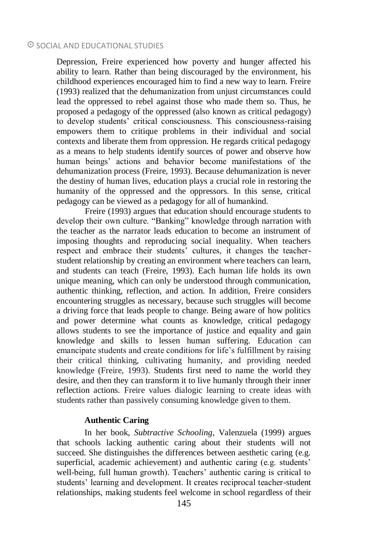Depression, Freire experienced how poverty and hunger affected his ability to learn. Rather than being discouraged by the environment, his childhood experiences encouraged him to find a new way to learn. Freire (1993) realized that the dehumanization from unjust circumstances could lead the oppressed to rebel against those who made them so. Thus, he proposed a pedagogy of the oppressed (also known as critical pedagogy) to develop students' critical consciousness. This consciousness-raising empowers them to critique problems in their individual and social contexts and liberate them from oppression. He regards critical pedagogy as a means to help students identify sources of power and observe how human beings' actions and behavior become manifestations of the dehumanization process (Freire, 1993). Because dehumanization is never the destiny of human lives, education plays a crucial role in restoring the humanity of the oppressed and the oppressors. In this sense, critical pedagogy can be viewed as a pedagogy for all of humankind.

Freire (1993) argues that education should encourage students to develop their own culture. "Banking" knowledge through narration with the teacher as the narrator leads education to become an instrument of imposing thoughts and reproducing social inequality. When teachers respect and embrace their students' cultures, it changes the teacherstudent relationship by creating an environment where teachers can learn, and students can teach (Freire, 1993). Each human life holds its own unique meaning, which can only be understood through communication, authentic thinking, reflection, and action. In addition, Freire considers encountering struggles as necessary, because such struggles will become a driving force that leads people to change. Being aware of how politics and power determine what counts as knowledge, critical pedagogy allows students to see the importance of justice and equality and gain knowledge and skills to lessen human suffering. Education can emancipate students and create conditions for life's fulfillment by raising their critical thinking, cultivating humanity, and providing needed knowledge (Freire, 1993). Students first need to name the world they desire, and then they can transform it to live humanly through their inner reflection actions. Freire values dialogic learning to create ideas with students rather than passively consuming knowledge given to them.

#### **Authentic Caring**

In her book, *Subtractive Schooling*, Valenzuela (1999) argues that schools lacking authentic caring about their students will not succeed. She distinguishes the differences between aesthetic caring (e.g. superficial, academic achievement) and authentic caring (e.g. students' well-being, full human growth). Teachers' authentic caring is critical to students' learning and development. It creates reciprocal teacher-student relationships, making students feel welcome in school regardless of their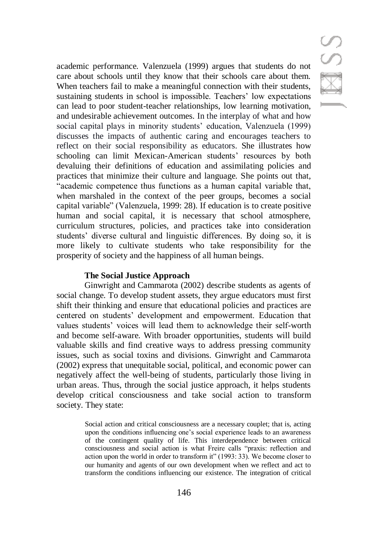# SSE

academic performance. Valenzuela (1999) argues that students do not care about schools until they know that their schools care about them. When teachers fail to make a meaningful connection with their students, sustaining students in school is impossible. Teachers' low expectations can lead to poor student-teacher relationships, low learning motivation, and undesirable achievement outcomes. In the interplay of what and how social capital plays in minority students' education, Valenzuela (1999) discusses the impacts of authentic caring and encourages teachers to reflect on their social responsibility as educators. She illustrates how schooling can limit Mexican-American students' resources by both devaluing their definitions of education and assimilating policies and practices that minimize their culture and language. She points out that, "academic competence thus functions as a human capital variable that, when marshaled in the context of the peer groups, becomes a social capital variable" (Valenzuela, 1999: 28). If education is to create positive human and social capital, it is necessary that school atmosphere, curriculum structures, policies, and practices take into consideration students' diverse cultural and linguistic differences. By doing so, it is more likely to cultivate students who take responsibility for the prosperity of society and the happiness of all human beings.

## **The Social Justice Approach**

Ginwright and Cammarota (2002) describe students as agents of social change. To develop student assets, they argue educators must first shift their thinking and ensure that educational policies and practices are centered on students' development and empowerment. Education that values students' voices will lead them to acknowledge their self-worth and become self-aware. With broader opportunities, students will build valuable skills and find creative ways to address pressing community issues, such as social toxins and divisions. Ginwright and Cammarota (2002) express that unequitable social, political, and economic power can negatively affect the well-being of students, particularly those living in urban areas. Thus, through the social justice approach, it helps students develop critical consciousness and take social action to transform society. They state:

> Social action and critical consciousness are a necessary couplet; that is, acting upon the conditions influencing one's social experience leads to an awareness of the contingent quality of life. This interdependence between critical consciousness and social action is what Freire calls "praxis: reflection and action upon the world in order to transform it" (1993: 33). We become closer to our humanity and agents of our own development when we reflect and act to transform the conditions influencing our existence. The integration of critical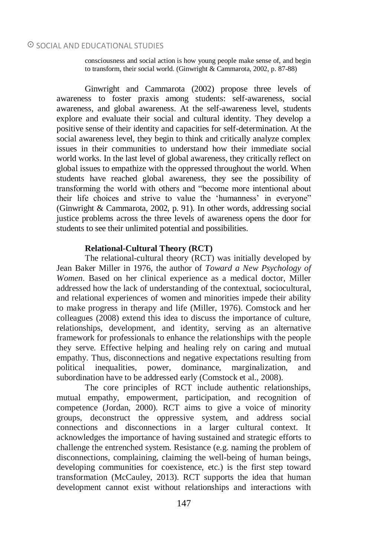consciousness and social action is how young people make sense of, and begin to transform, their social world. (Ginwright & Cammarota, 2002, p. 87-88)

Ginwright and Cammarota (2002) propose three levels of awareness to foster praxis among students: self-awareness, social awareness, and global awareness. At the self-awareness level, students explore and evaluate their social and cultural identity. They develop a positive sense of their identity and capacities for self-determination. At the social awareness level, they begin to think and critically analyze complex issues in their communities to understand how their immediate social world works. In the last level of global awareness, they critically reflect on global issues to empathize with the oppressed throughout the world. When students have reached global awareness, they see the possibility of transforming the world with others and "become more intentional about their life choices and strive to value the 'humanness' in everyone" (Ginwright & Cammarota, 2002, p. 91). In other words, addressing social justice problems across the three levels of awareness opens the door for students to see their unlimited potential and possibilities.

#### **Relational-Cultural Theory (RCT)**

The relational-cultural theory (RCT) was initially developed by Jean Baker Miller in 1976, the author of *Toward a New Psychology of Women*. Based on her clinical experience as a medical doctor, Miller addressed how the lack of understanding of the contextual, sociocultural, and relational experiences of women and minorities impede their ability to make progress in therapy and life (Miller, 1976). Comstock and her colleagues (2008) extend this idea to discuss the importance of culture, relationships, development, and identity, serving as an alternative framework for professionals to enhance the relationships with the people they serve. Effective helping and healing rely on caring and mutual empathy. Thus, disconnections and negative expectations resulting from political inequalities, power, dominance, marginalization, and subordination have to be addressed early (Comstock et al., 2008).

The core principles of RCT include authentic relationships, mutual empathy, empowerment, participation, and recognition of competence (Jordan, 2000). RCT aims to give a voice of minority groups, deconstruct the oppressive system, and address social connections and disconnections in a larger cultural context. It acknowledges the importance of having sustained and strategic efforts to challenge the entrenched system. Resistance (e.g. naming the problem of disconnections, complaining, claiming the well-being of human beings, developing communities for coexistence, etc.) is the first step toward transformation (McCauley, 2013). RCT supports the idea that human development cannot exist without relationships and interactions with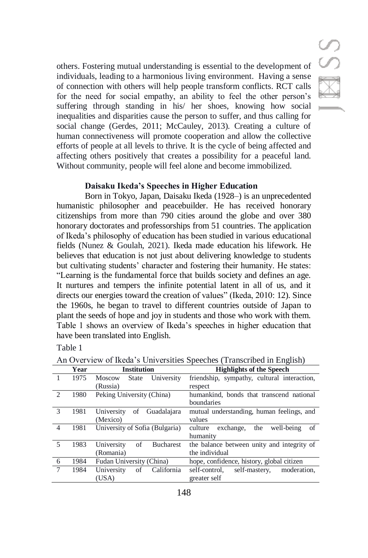S<br>S

others. Fostering mutual understanding is essential to the development of individuals, leading to a harmonious living environment. Having a sense of connection with others will help people transform conflicts. RCT calls for the need for social empathy, an ability to feel the other person's suffering through standing in his/ her shoes, knowing how social inequalities and disparities cause the person to suffer, and thus calling for social change (Gerdes, 2011; McCauley, 2013). Creating a culture of human connectiveness will promote cooperation and allow the collective efforts of people at all levels to thrive. It is the cycle of being affected and affecting others positively that creates a possibility for a peaceful land. Without community, people will feel alone and become immobilized.

#### **Daisaku Ikeda's Speeches in Higher Education**

Born in Tokyo, Japan, Daisaku Ikeda (1928–) is an unprecedented humanistic philosopher and peacebuilder. He has received honorary citizenships from more than 790 cities around the globe and over 380 honorary doctorates and professorships from 51 countries. The application of Ikeda's philosophy of education has been studied in various educational fields (Nunez & Goulah, 2021). Ikeda made education his lifework. He believes that education is not just about delivering knowledge to students but cultivating students' character and fostering their humanity. He states: "Learning is the fundamental force that builds society and defines an age. It nurtures and tempers the infinite potential latent in all of us, and it directs our energies toward the creation of values" (Ikeda, 2010: 12). Since the 1960s, he began to travel to different countries outside of Japan to plant the seeds of hope and joy in students and those who work with them. Table 1 shows an overview of Ikeda's speeches in higher education that have been translated into English.

Table 1

|                | Year | <b>Institution</b>                          | <b>Highlights of the Speech</b>                |
|----------------|------|---------------------------------------------|------------------------------------------------|
|                | 1975 | <b>State</b><br>University<br><b>Moscow</b> | friendship, sympathy, cultural interaction,    |
|                |      | (Russia)                                    | respect                                        |
| $\mathcal{L}$  | 1980 | Peking University (China)                   | humankind, bonds that transcend national       |
|                |      |                                             | boundaries                                     |
| 3              | 1981 | Guadalajara<br>οf<br>University             | mutual understanding, human feelings, and      |
|                |      | (Mexico)                                    | values                                         |
| $\overline{4}$ | 1981 | University of Sofia (Bulgaria)              | culture exchange,<br>the<br>well-being<br>- of |
|                |      |                                             | humanity                                       |
| 5              | 1983 | University<br>οf<br><b>Bucharest</b>        | the balance between unity and integrity of     |
|                |      | (Romania)                                   | the individual                                 |
| 6              | 1984 | Fudan University (China)                    | hope, confidence, history, global citizen      |
| 7              | 1984 | California<br>University<br>of              | self-mastery,<br>self-control.<br>moderation.  |
|                |      | (USA)                                       | greater self                                   |

An Overview of Ikeda's Universities Speeches (Transcribed in English)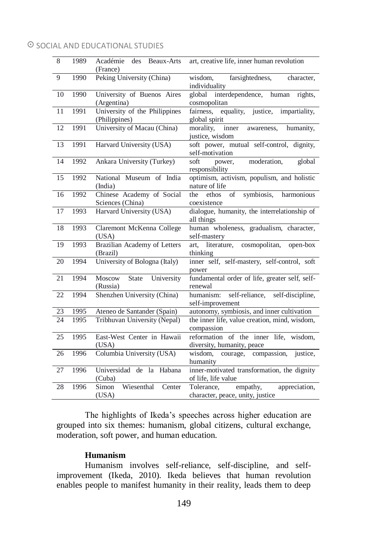| $\overline{8}$  | 1989 | Académie<br>des<br>Beaux-Arts<br>(France)      | art, creative life, inner human revolution                                  |
|-----------------|------|------------------------------------------------|-----------------------------------------------------------------------------|
| $\overline{9}$  | 1990 | Peking University (China)                      | farsightedness,<br>wisdom,<br>character,<br>individuality                   |
| 10              | 1990 | University of Buenos Aires<br>(Argentina)      | interdependence, human<br>global<br>rights,<br>cosmopolitan                 |
| 11              | 1991 | University of the Philippines<br>(Philippines) | equality, justice,<br>impartiality,<br>fairness,<br>global spirit           |
| 12              | 1991 | University of Macau (China)                    | morality,<br>inner<br>humanity,<br>awareness,<br>justice, wisdom            |
| 13              | 1991 | Harvard University (USA)                       | soft power, mutual self-control, dignity,<br>self-motivation                |
| $\overline{14}$ | 1992 | Ankara University (Turkey)                     | global<br>moderation,<br>soft<br>power,<br>responsibility                   |
| 15              | 1992 | National Museum of India<br>(India)            | optimism, activism, populism, and holistic<br>nature of life                |
| 16              | 1992 | Chinese Academy of Social<br>Sciences (China)  | symbiosis,<br>ethos<br>of<br>harmonious<br>the<br>coexistence               |
| 17              | 1993 | Harvard University (USA)                       | dialogue, humanity, the interrelationship of<br>all things                  |
| 18              | 1993 | Claremont McKenna College<br>(USA)             | human wholeness, gradualism, character,<br>self-mastery                     |
| 19              | 1993 | Brazilian Academy of Letters<br>(Brazil)       | cosmopolitan,<br>art, literature,<br>open-box<br>thinking                   |
| 20              | 1994 | University of Bologna (Italy)                  | inner self, self-mastery, self-control, soft<br>power                       |
| 21              | 1994 | Moscow<br>State<br>University<br>(Russia)      | fundamental order of life, greater self, self-<br>renewal                   |
| 22              | 1994 | Shenzhen University (China)                    | humanism: self-reliance, self-discipline,<br>self-improvement               |
| 23              | 1995 | Ateneo de Santander (Spain)                    | autonomy, symbiosis, and inner cultivation                                  |
| 24              | 1995 | Tribhuvan University (Nepal)                   | the inner life, value creation, mind, wisdom,<br>compassion                 |
| 25              | 1995 | East-West Center in Hawaii<br>(USA)            | reformation of the inner life, wisdom,<br>diversity, humanity, peace        |
| 26              | 1996 | Columbia University (USA)                      | justice,<br>wisdom.<br>courage, compassion,<br>humanity                     |
| 27              | 1996 | Universidad de la<br>Habana<br>(Cuba)          | inner-motivated transformation, the dignity<br>of life, life value          |
| 28              | 1996 | Wiesenthal<br>Simon<br>Center<br>(USA)         | empathy,<br>appreciation,<br>Tolerance,<br>character, peace, unity, justice |

The highlights of Ikeda's speeches across higher education are grouped into six themes: humanism, global citizens, cultural exchange, moderation, soft power, and human education.

# **Humanism**

Humanism involves self-reliance, self-discipline, and selfimprovement (Ikeda, 2010). Ikeda believes that human revolution enables people to manifest humanity in their reality, leads them to deep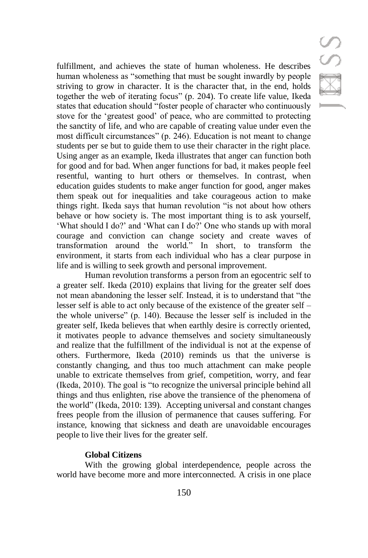SSS

fulfillment, and achieves the state of human wholeness. He describes human wholeness as "something that must be sought inwardly by people striving to grow in character. It is the character that, in the end, holds together the web of iterating focus" (p. 204). To create life value, Ikeda states that education should "foster people of character who continuously stove for the 'greatest good' of peace, who are committed to protecting the sanctity of life, and who are capable of creating value under even the most difficult circumstances" (p. 246). Education is not meant to change students per se but to guide them to use their character in the right place. Using anger as an example, Ikeda illustrates that anger can function both for good and for bad. When anger functions for bad, it makes people feel resentful, wanting to hurt others or themselves. In contrast, when education guides students to make anger function for good, anger makes them speak out for inequalities and take courageous action to make things right. Ikeda says that human revolution "is not about how others behave or how society is. The most important thing is to ask yourself, 'What should I do?' and 'What can I do?' One who stands up with moral courage and conviction can change society and create waves of transformation around the world." In short, to transform the environment, it starts from each individual who has a clear purpose in life and is willing to seek growth and personal improvement.

Human revolution transforms a person from an egocentric self to a greater self. Ikeda (2010) explains that living for the greater self does not mean abandoning the lesser self. Instead, it is to understand that "the lesser self is able to act only because of the existence of the greater self – the whole universe" (p. 140). Because the lesser self is included in the greater self, Ikeda believes that when earthly desire is correctly oriented, it motivates people to advance themselves and society simultaneously and realize that the fulfillment of the individual is not at the expense of others. Furthermore, Ikeda (2010) reminds us that the universe is constantly changing, and thus too much attachment can make people unable to extricate themselves from grief, competition, worry, and fear (Ikeda, 2010). The goal is "to recognize the universal principle behind all things and thus enlighten, rise above the transience of the phenomena of the world" (Ikeda, 2010: 139). Accepting universal and constant changes frees people from the illusion of permanence that causes suffering. For instance, knowing that sickness and death are unavoidable encourages people to live their lives for the greater self.

## **Global Citizens**

With the growing global interdependence, people across the world have become more and more interconnected. A crisis in one place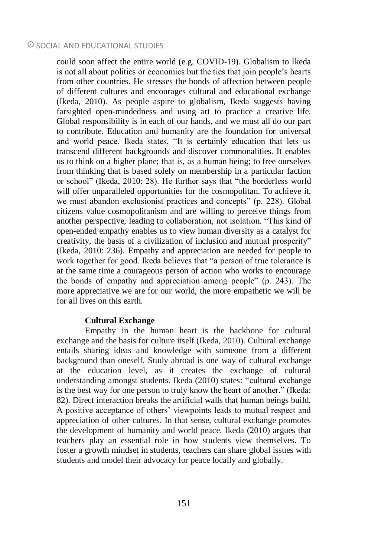could soon affect the entire world (e.g. COVID-19). Globalism to Ikeda is not all about politics or economics but the ties that join people's hearts from other countries. He stresses the bonds of affection between people of different cultures and encourages cultural and educational exchange (Ikeda, 2010). As people aspire to globalism, Ikeda suggests having farsighted open-mindedness and using art to practice a creative life. Global responsibility is in each of our hands, and we must all do our part to contribute. Education and humanity are the foundation for universal and world peace. Ikeda states, "It is certainly education that lets us transcend different backgrounds and discover commonalities. It enables us to think on a higher plane; that is, as a human being; to free ourselves from thinking that is based solely on membership in a particular faction or school" (Ikeda, 2010: 28). He further says that "the borderless world will offer unparalleled opportunities for the cosmopolitan. To achieve it, we must abandon exclusionist practices and concepts" (p. 228). Global citizens value cosmopolitanism and are willing to perceive things from another perspective, leading to collaboration, not isolation. "This kind of open-ended empathy enables us to view human diversity as a catalyst for creativity, the basis of a civilization of inclusion and mutual prosperity" (Ikeda, 2010: 236). Empathy and appreciation are needed for people to work together for good. Ikeda believes that "a person of true tolerance is at the same time a courageous person of action who works to encourage the bonds of empathy and appreciation among people" (p. 243). The more appreciative we are for our world, the more empathetic we will be for all lives on this earth.

## **Cultural Exchange**

Empathy in the human heart is the backbone for cultural exchange and the basis for culture itself (Ikeda, 2010). Cultural exchange entails sharing ideas and knowledge with someone from a different background than oneself. Study abroad is one way of cultural exchange at the education level, as it creates the exchange of cultural understanding amongst students. Ikeda (2010) states: "cultural exchange is the best way for one person to truly know the heart of another." (Ikeda: 82). Direct interaction breaks the artificial walls that human beings build. A positive acceptance of others' viewpoints leads to mutual respect and appreciation of other cultures. In that sense, cultural exchange promotes the development of humanity and world peace. Ikeda (2010) argues that teachers play an essential role in how students view themselves. To foster a growth mindset in students, teachers can share global issues with students and model their advocacy for peace locally and globally.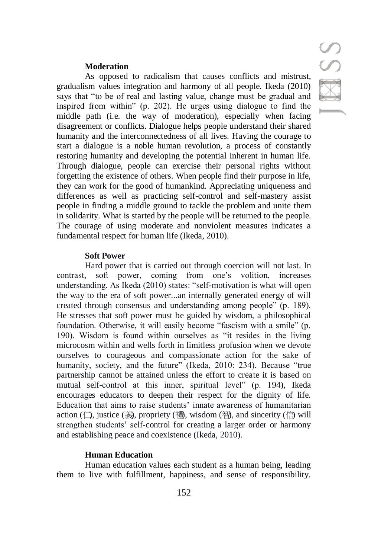#### **Moderation**

As opposed to radicalism that causes conflicts and mistrust, gradualism values integration and harmony of all people. Ikeda (2010) says that "to be of real and lasting value, change must be gradual and inspired from within" (p. 202). He urges using dialogue to find the middle path (i.e. the way of moderation), especially when facing disagreement or conflicts. Dialogue helps people understand their shared humanity and the interconnectedness of all lives. Having the courage to start a dialogue is a noble human revolution, a process of constantly restoring humanity and developing the potential inherent in human life. Through dialogue, people can exercise their personal rights without forgetting the existence of others. When people find their purpose in life, they can work for the good of humankind. Appreciating uniqueness and differences as well as practicing self-control and self-mastery assist people in finding a middle ground to tackle the problem and unite them in solidarity. What is started by the people will be returned to the people. The courage of using moderate and nonviolent measures indicates a fundamental respect for human life (Ikeda, 2010).

#### **Soft Power**

Hard power that is carried out through coercion will not last. In contrast, soft power, coming from one's volition, increases understanding. As Ikeda (2010) states: "self-motivation is what will open the way to the era of soft power...an internally generated energy of will created through consensus and understanding among people" (p. 189). He stresses that soft power must be guided by wisdom, a philosophical foundation. Otherwise, it will easily become "fascism with a smile" (p. 190). Wisdom is found within ourselves as "it resides in the living microcosm within and wells forth in limitless profusion when we devote ourselves to courageous and compassionate action for the sake of humanity, society, and the future" (Ikeda, 2010: 234). Because "true partnership cannot be attained unless the effort to create it is based on mutual self-control at this inner, spiritual level" (p. 194), Ikeda encourages educators to deepen their respect for the dignity of life. Education that aims to raise students' innate awareness of humanitarian action ( $\Box$ ), justice (義), propriety (禮), wisdom (智), and sincerity (信) will strengthen students' self-control for creating a larger order or harmony and establishing peace and coexistence (Ikeda, 2010).

## **Human Education**

Human education values each student as a human being, leading them to live with fulfillment, happiness, and sense of responsibility.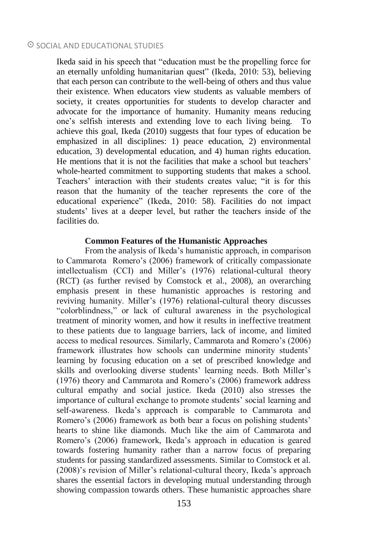Ikeda said in his speech that "education must be the propelling force for an eternally unfolding humanitarian quest" (Ikeda, 2010: 53), believing that each person can contribute to the well-being of others and thus value their existence. When educators view students as valuable members of society, it creates opportunities for students to develop character and advocate for the importance of humanity. Humanity means reducing one's selfish interests and extending love to each living being. To achieve this goal, Ikeda (2010) suggests that four types of education be emphasized in all disciplines: 1) peace education, 2) environmental education, 3) developmental education, and 4) human rights education. He mentions that it is not the facilities that make a school but teachers' whole-hearted commitment to supporting students that makes a school. Teachers' interaction with their students creates value; "it is for this reason that the humanity of the teacher represents the core of the educational experience" (Ikeda, 2010: 58). Facilities do not impact students' lives at a deeper level, but rather the teachers inside of the facilities do.

## **Common Features of the Humanistic Approaches**

From the analysis of Ikeda's humanistic approach, in comparison to Cammarota Romero's (2006) framework of critically compassionate intellectualism (CCI) and Miller's (1976) relational-cultural theory (RCT) (as further revised by Comstock et al., 2008), an overarching emphasis present in these humanistic approaches is restoring and reviving humanity. Miller's (1976) relational-cultural theory discusses "colorblindness," or lack of cultural awareness in the psychological treatment of minority women, and how it results in ineffective treatment to these patients due to language barriers, lack of income, and limited access to medical resources. Similarly, Cammarota and Romero's (2006) framework illustrates how schools can undermine minority students' learning by focusing education on a set of prescribed knowledge and skills and overlooking diverse students' learning needs. Both Miller's (1976) theory and Cammarota and Romero's (2006) framework address cultural empathy and social justice. Ikeda (2010) also stresses the importance of cultural exchange to promote students' social learning and self-awareness. Ikeda's approach is comparable to Cammarota and Romero's (2006) framework as both bear a focus on polishing students' hearts to shine like diamonds. Much like the aim of Cammarota and Romero's (2006) framework, Ikeda's approach in education is geared towards fostering humanity rather than a narrow focus of preparing students for passing standardized assessments. Similar to Comstock et al. (2008)'s revision of Miller's relational-cultural theory, Ikeda's approach shares the essential factors in developing mutual understanding through showing compassion towards others. These humanistic approaches share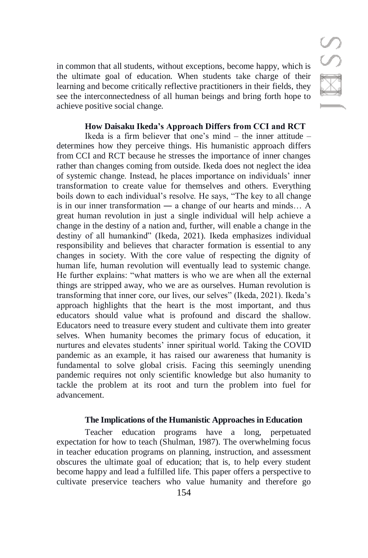in common that all students, without exceptions, become happy, which is the ultimate goal of education. When students take charge of their learning and become critically reflective practitioners in their fields, they see the interconnectedness of all human beings and bring forth hope to achieve positive social change.

# **How Daisaku Ikeda's Approach Differs from CCI and RCT**

Ikeda is a firm believer that one's mind  $-$  the inner attitude  $$ determines how they perceive things. His humanistic approach differs from CCI and RCT because he stresses the importance of inner changes rather than changes coming from outside. Ikeda does not neglect the idea of systemic change. Instead, he places importance on individuals' inner transformation to create value for themselves and others. Everything boils down to each individual's resolve. He says, "The key to all change is in our inner transformation ― a change of our hearts and minds… A great human revolution in just a single individual will help achieve a change in the destiny of a nation and, further, will enable a change in the destiny of all humankind" (Ikeda, 2021). Ikeda emphasizes individual responsibility and believes that character formation is essential to any changes in society. With the core value of respecting the dignity of human life, human revolution will eventually lead to systemic change. He further explains: "what matters is who we are when all the external things are stripped away, who we are as ourselves. Human revolution is transforming that inner core, our lives, our selves" (Ikeda, 2021). Ikeda's approach highlights that the heart is the most important, and thus educators should value what is profound and discard the shallow. Educators need to treasure every student and cultivate them into greater selves. When humanity becomes the primary focus of education, it nurtures and elevates students' inner spiritual world. Taking the COVID pandemic as an example, it has raised our awareness that humanity is fundamental to solve global crisis. Facing this seemingly unending pandemic requires not only scientific knowledge but also humanity to tackle the problem at its root and turn the problem into fuel for advancement.

# **The Implications of the Humanistic Approaches in Education**

Teacher education programs have a long, perpetuated expectation for how to teach (Shulman, 1987). The overwhelming focus in teacher education programs on planning, instruction, and assessment obscures the ultimate goal of education; that is, to help every student become happy and lead a fulfilled life. This paper offers a perspective to cultivate preservice teachers who value humanity and therefore go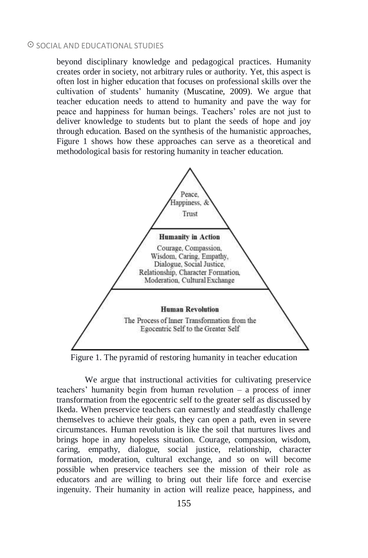beyond disciplinary knowledge and pedagogical practices. Humanity creates order in society, not arbitrary rules or authority. Yet, this aspect is often lost in higher education that focuses on professional skills over the cultivation of students' humanity (Muscatine, 2009). We argue that teacher education needs to attend to humanity and pave the way for peace and happiness for human beings. Teachers' roles are not just to deliver knowledge to students but to plant the seeds of hope and joy through education. Based on the synthesis of the humanistic approaches, Figure 1 shows how these approaches can serve as a theoretical and methodological basis for restoring humanity in teacher education.



Figure 1. The pyramid of restoring humanity in teacher education

We argue that instructional activities for cultivating preservice teachers' humanity begin from human revolution – a process of inner transformation from the egocentric self to the greater self as discussed by Ikeda. When preservice teachers can earnestly and steadfastly challenge themselves to achieve their goals, they can open a path, even in severe circumstances. Human revolution is like the soil that nurtures lives and brings hope in any hopeless situation. Courage, compassion, wisdom, caring, empathy, dialogue, social justice, relationship, character formation, moderation, cultural exchange, and so on will become possible when preservice teachers see the mission of their role as educators and are willing to bring out their life force and exercise ingenuity. Their humanity in action will realize peace, happiness, and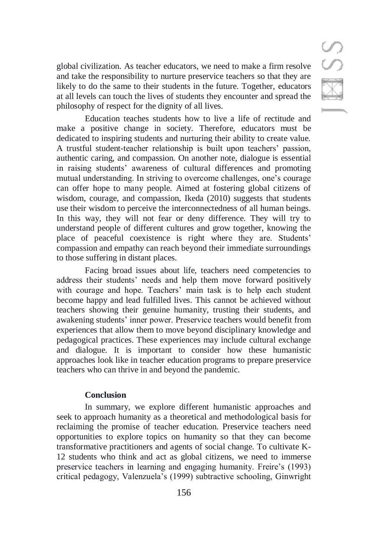S

global civilization. As teacher educators, we need to make a firm resolve and take the responsibility to nurture preservice teachers so that they are likely to do the same to their students in the future. Together, educators at all levels can touch the lives of students they encounter and spread the philosophy of respect for the dignity of all lives.

Education teaches students how to live a life of rectitude and make a positive change in society. Therefore, educators must be dedicated to inspiring students and nurturing their ability to create value. A trustful student-teacher relationship is built upon teachers' passion, authentic caring, and compassion. On another note, dialogue is essential in raising students' awareness of cultural differences and promoting mutual understanding. In striving to overcome challenges, one's courage can offer hope to many people. Aimed at fostering global citizens of wisdom, courage, and compassion, Ikeda (2010) suggests that students use their wisdom to perceive the interconnectedness of all human beings. In this way, they will not fear or deny difference. They will try to understand people of different cultures and grow together, knowing the place of peaceful coexistence is right where they are. Students' compassion and empathy can reach beyond their immediate surroundings to those suffering in distant places.

Facing broad issues about life, teachers need competencies to address their students' needs and help them move forward positively with courage and hope. Teachers' main task is to help each student become happy and lead fulfilled lives. This cannot be achieved without teachers showing their genuine humanity, trusting their students, and awakening students' inner power. Preservice teachers would benefit from experiences that allow them to move beyond disciplinary knowledge and pedagogical practices. These experiences may include cultural exchange and dialogue. It is important to consider how these humanistic approaches look like in teacher education programs to prepare preservice teachers who can thrive in and beyond the pandemic.

## **Conclusion**

In summary, we explore different humanistic approaches and seek to approach humanity as a theoretical and methodological basis for reclaiming the promise of teacher education. Preservice teachers need opportunities to explore topics on humanity so that they can become transformative practitioners and agents of social change. To cultivate K-12 students who think and act as global citizens, we need to immerse preservice teachers in learning and engaging humanity. Freire's (1993) critical pedagogy, Valenzuela's (1999) subtractive schooling, Ginwright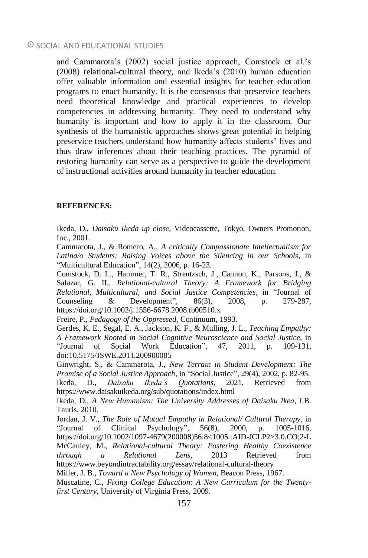and Cammarota's (2002) social justice approach, Comstock et al.'s (2008) relational-cultural theory, and Ikeda's (2010) human education offer valuable information and essential insights for teacher education programs to enact humanity. It is the consensus that preservice teachers need theoretical knowledge and practical experiences to develop competencies in addressing humanity. They need to understand why humanity is important and how to apply it in the classroom. Our synthesis of the humanistic approaches shows great potential in helping preservice teachers understand how humanity affects students' lives and thus draw inferences about their teaching practices. The pyramid of restoring humanity can serve as a perspective to guide the development of instructional activities around humanity in teacher education.

#### **REFERENCES:**

Ikeda, D., *Daisaku Ikeda up close*, Videocassette, Tokyo, Owners Promotion, Inc., 2001.

Cammarota, J., & Romero, A., *A critically Compassionate Intellectualism for Latina/o Students: Raising Voices above the Silencing in our Schools*, in "Multicultural Education", 14(2), 2006, p. 16-23.

Comstock, D. L., Hammer, T. R., Strentzsch, J., Cannon, K., Parsons, J., & Salazar, G. II., *Relational-cultural Theory: A Framework for Bridging Relational, Multicultural, and Social Justice Competencies*, in "Journal of Counseling & Development", 86(3), 2008, p. 279-287, https://doi.org/10.1002/j.1556-6678.2008.tb00510.x

Freire, P., *Pedagogy of the Oppressed*, Continuum, 1993.

Gerdes, K. E., Segal, E. A., Jackson, K. F., & Mulling, J. L., *Teaching Empathy: A Framework Rooted in Social Cognitive Neuroscience and Social Justice*, in "Journal of Social Work Education", 47, 2011, p. 109-131, doi:10.5175/JSWE.2011.200900085

Ginwright, S., & Cammarota, J., *New Terrain in Student Development: The Promise of a Social Justice Approach*, in "Social Justice", 29(4), 2002, p. 82-95. Ikeda, D., *Daisaku Ikeda's Quotations*, 2021, Retrieved from https://www.daisakuikeda.org/sub/quotations/index.html

Ikeda, D., *A New Humanism: The University Addresses of Daisaku Ikea*, I.B. Tauris, 2010.

Jordan, J. V., *The Role of Mutual Empathy in Relational/ Cultural Therapy*, in "Journal of Clinical Psychology", 56(8), 2000, p. 1005-1016, https://doi.org/10.1002/1097-4679(200008)56:8<1005::AID-JCLP2>3.0.CO;2-L McCauley, M., *Relational-cultural Theory: Fostering Healthy Coexistence through a Relational Lens*, 2013 Retrieved from https://www.beyondintractability.org/essay/relational-cultural-theory

Miller, J. B., *Toward a New Psychology of Women*, Beacon Press, 1967.

Muscatine, C., *Fixing College Education: A New Curriculum for the Twentyfirst Century*, University of Virginia Press, 2009.